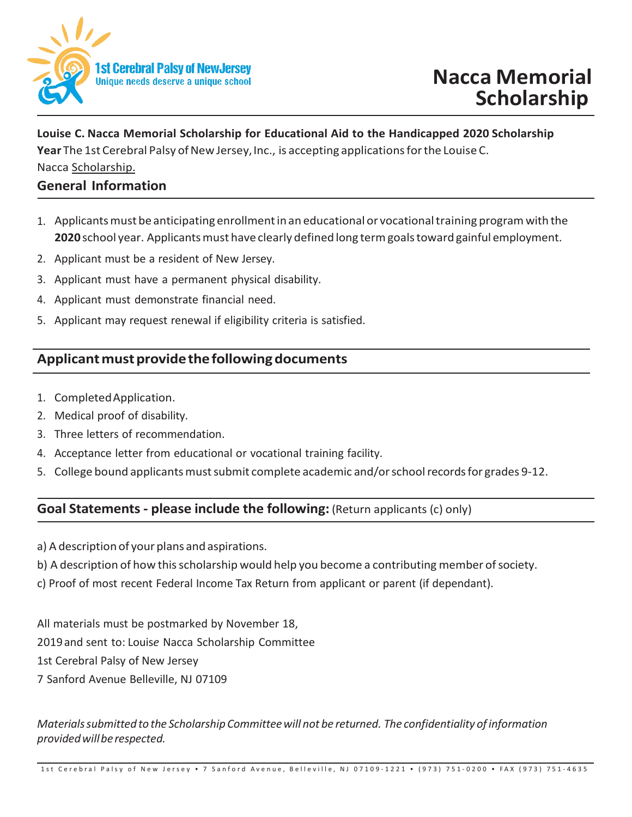

# **Louise C. Nacca Memorial Scholarship for Educational Aid to the Handicapped 2020 Scholarship Year** The 1st Cerebral Palsy of New Jersey, Inc., is accepting applications for the Louise C.

Nacca Scholarship.

## **General Information**

- 1. Applicantsmust be anticipating enrollmentinan educational or vocationaltraining programwith the 2020 school year. Applicants must have clearly defined long term goals toward gainful employment.
- 2. Applicant must be a resident of New Jersey.
- 3. Applicant must have a permanent physical disability.
- 4. Applicant must demonstrate financial need.
- 5. Applicant may request renewal if eligibility criteria is satisfied.

# Applicant must provide the following documents

- 1. CompletedApplication.
- 2. Medical proof of disability.
- 3. Three letters of recommendation.
- 4. Acceptance letter from educational or vocational training facility.
- 5. College bound applicants must submit complete academic and/or school records for grades 9-12.

# **Goal Statements - please include the following:** (Return applicants (c) only)

- a) A description of your plans and aspirations.
- b) A description of how this scholarship would help you become a contributing member of society.
- c) Proof of most recent Federal Income Tax Return from applicant or parent (if dependant).

All materials must be postmarked by November 18,

- 2019and sent to: Louis*e* Nacca Scholarship Committee
- 1st Cerebral Palsy of New Jersey
- 7 Sanford Avenue Belleville, NJ 07109

*Materialssubmitted to the Scholarship Committeewill not be returned. The confidentiality ofinformation providedwillbe respected.*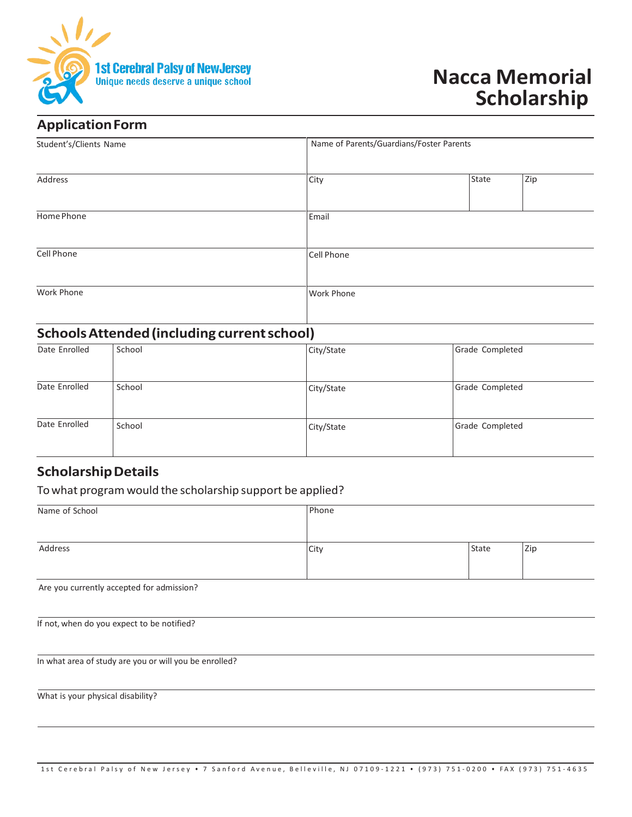

# **Nacca Memorial Scholarship**

# **Application Form**

| Student's/Clients Name | Name of Parents/Guardians/Foster Parents |       |     |
|------------------------|------------------------------------------|-------|-----|
| Address                | City                                     | State | Zip |
| Home Phone             | Email                                    |       |     |
| Cell Phone             | <b>Cell Phone</b>                        |       |     |
| Work Phone             | Work Phone                               |       |     |

# **SchoolsAttended (including current school)**

| Date Enrolled | School | City/State | Grade Completed |
|---------------|--------|------------|-----------------|
|               |        |            |                 |
| Date Enrolled | School | City/State | Grade Completed |
| Date Enrolled | School | City/State | Grade Completed |

### **Scholarship Details**

#### To what program would the scholarship support be applied?

| Name of School | Phone |       |     |
|----------------|-------|-------|-----|
|                |       |       |     |
| Address        | City  | State | Zip |
|                |       |       |     |

Are you currently accepted for admission?

| If not, when do you expect to be notified? |  |  |
|--------------------------------------------|--|--|
|--------------------------------------------|--|--|

In what area of study are you or will you be enrolled?

What is your physical disability?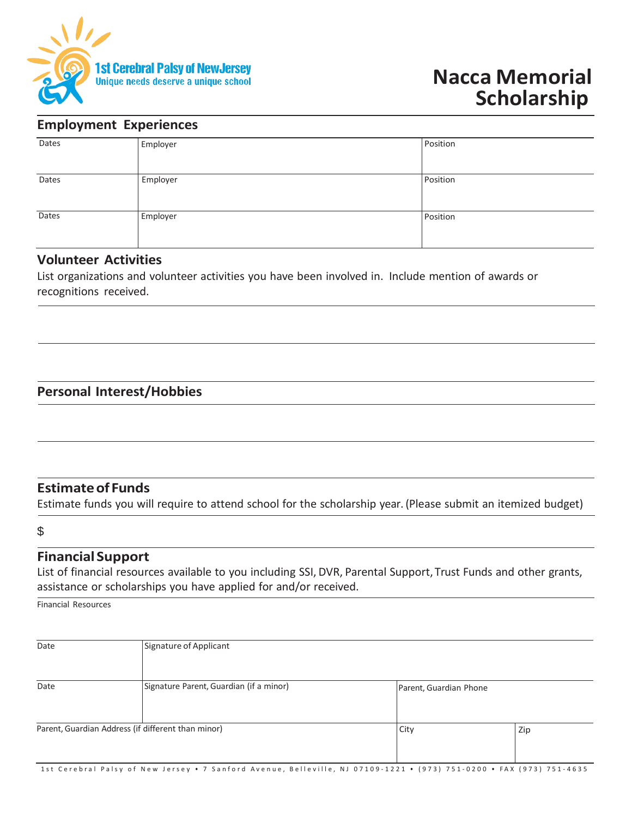

### **Employment Experiences**

| Dates | Employer | Position |
|-------|----------|----------|
|       |          |          |
| Dates | Employer | Position |
|       |          |          |
| Dates | Employer | Position |
|       |          |          |

#### **Volunteer Activities**

List organizations and volunteer activities you have been involved in. Include mention of awards or recognitions received.

## **Personal Interest/Hobbies**

### **Estimateof Funds**

Estimate funds you will require to attend school for the scholarship year. (Please submit an itemized budget)

### \$

### **Financial Support**

List of financial resources available to you including SSI, DVR, Parental Support, Trust Funds and other grants, assistance or scholarships you have applied for and/or received.

Financial Resources

| Date                                               | Signature of Applicant                  |                        |     |
|----------------------------------------------------|-----------------------------------------|------------------------|-----|
| Date                                               | Signature Parent, Guardian (if a minor) | Parent, Guardian Phone |     |
| Parent, Guardian Address (if different than minor) |                                         | City                   | Zip |